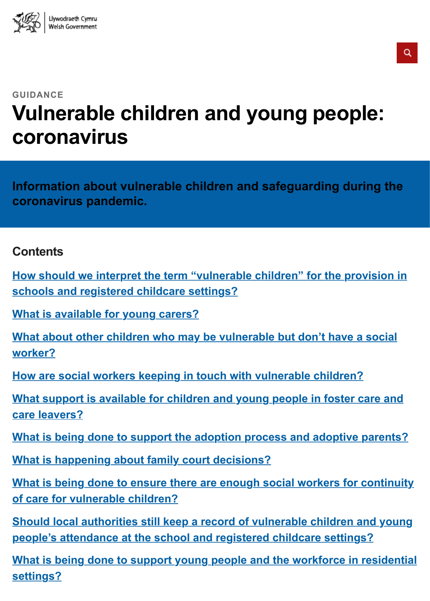### **Vulnerable children and young people: coronavirus**

**Information about vulnerable children and safeguarding during the coronavirus pandemic.**

### **Contents**

**How should we interpret the term "vulnerable children" for the provistion in schools and registered childcare settings?**

**What is available for young carers?**

**What about other children who may be vulnerable but don't have a so worker?**

**How are social workers keeping in touch with vulnerable children?**

**What support is available for children and young people in foster care care leavers?**

**[What is being done to support the a](#page-2-0)doption process and adoptive parents?** 

**[What is happening about family court decisions?](#page-2-1)**

**[What is being done to ensure there are enough social workers for c](#page-2-2)ontinuity of care for vulnerable children?**

**Should local authorities still keep a record of vulnerable children and people's attendance at the school and registered childcare settings?**

**What is being done to support young people and the workforce in rest [settings?](#page-4-0)**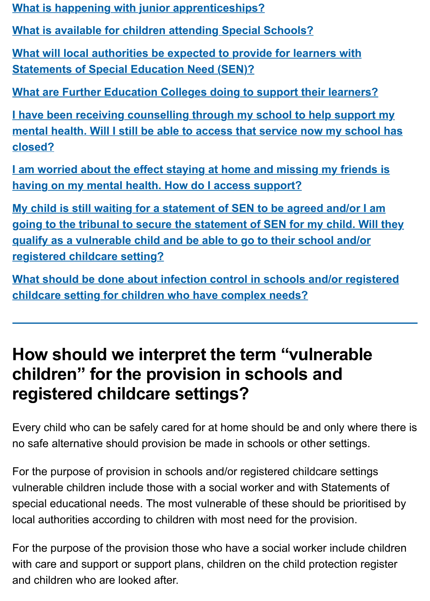**[I have been receiving counselling through my sc](#page-6-0)hool to help support my mental health. Will I still be able to access that service now my school [closed?](#page-6-1)**

**[I am worried about the effect staying at home and missing my frien](#page-6-2)ds having on my mental health. How do I access support?**

**[My child is still waiting for a statement of SEN to be agreed and/or I am](#page-7-0)azes going to the tribunal to secure the statement of SEN for my child. Will [qualify as a vulnerable child and be able to go to their school and/or](#page-7-1) registered childcare setting?**

**What should be done about infection control in schools and/or registeration of the control of the VIII [childcare setting for children who have complex needs?](#page-7-2)**

# **[How should we interpret the term "vulnerable](#page-8-0) children" for the provision in schools and [registered childcare settings?](#page-9-0)**

Every child who can be safely cared for at home should be and only where no safe alternative should provision be made in schools or other settings.

<span id="page-1-0"></span>For the purpose of provision in schools and/or registered childcare settings vulnerable children include those with a social worker and with Statements special educational needs. The most vulnerable of these should be prioritis local authorities according to children with most need for the provision.

For the purpose of the provision those who have a social worker include cheap with care and support or support plans, children on the child protection reg and children who are looked after.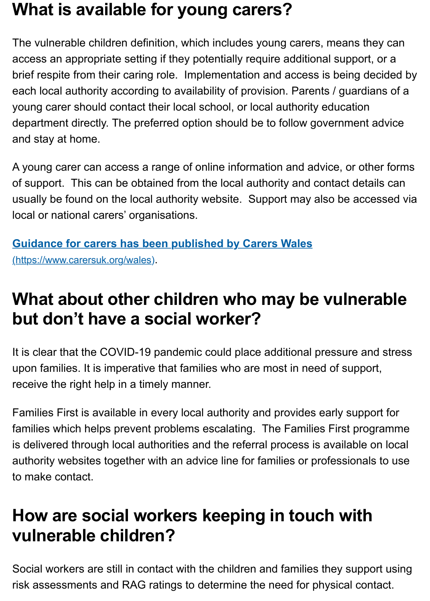<span id="page-2-0"></span>department directly. The preferred option should be to follow government a and stay at home.

A young carer can access a range of online information and advice, or other of support. This can be obtained from the local authority and contact detai usually be found on the local authority website. Support may also be acce local or national carers' organisations.

**Guidance for carers has been published by Carers Wales** (https://www.carersuk.org/wales).

# **What about other children who may be vulnerally but don't have a social worker?**

It is clear that the COVID-19 pandemic could place additional pressure and [upon families. It is imperative that families who are most in ne](https://www.carersuk.org/wales)ed of suppor receive the right help in a timely manner.

<span id="page-2-1"></span>Families First is available in every local authority and provides early support families which helps prevent problems escalating. The Families First programment is delivered through local authorities and the referral process is available on authority websites together with an advice line for families or professionals to make contact.

# **How are social workers keeping in touch with vulnerable children?**

<span id="page-2-2"></span>Social workers are still in contact with the children and families they support risk assessments and RAG ratings to determine the need for physical contact.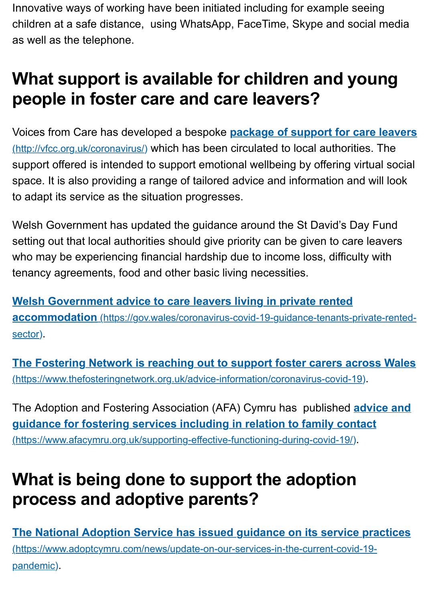Voices from Care has developed a bespoke **package of support for care** (http://vfcc.org.uk/coronavirus/) which has been circulated to local authorities. support offered is intended to support emotional wellbeing by offering virtual space. It is also providing a range of tailored advice and information and w to adapt its service as the situation progresses.

<span id="page-3-0"></span>Welsh Government has updated the guidance around the St David's Day F setting out that local authorities should give priority can be given to care lea who may be experiencing financial hardship due to income loss, difficulty **with** tenancy agreements, food and other basic living necessities.

**Welsh Government advice to care leavers living in private rented accommodation** (https://gov.wales/coronavirus-covid-19-guidance-tenants-private sector).

**The Fostering Network is reaching out to support foster carers across** (https://www.thefosteringnetwork.org.uk/advice-information/coronavirus-covid-19).

The Adoption and Fostering Association (AFA) Cymru has published **advi [guidance for fostering services including in relation to family contact](https://gov.wales/coronavirus-covid-19-guidance-tenants-private-rented-sector)** (https://www.afacymru.org.uk/supporting-effective-functioning-during-covid-19/).

# **[What is being done to support the adoption](https://www.thefosteringnetwork.org.uk/advice-information/coronavirus-covid-19) process and adoptive parents?**

<span id="page-3-1"></span>**The National Adoption Service has issued guidance on its service practice** (https://www.adoptcymru.com/news/update-on-our-services-in-the-current-covid-19 pandemic).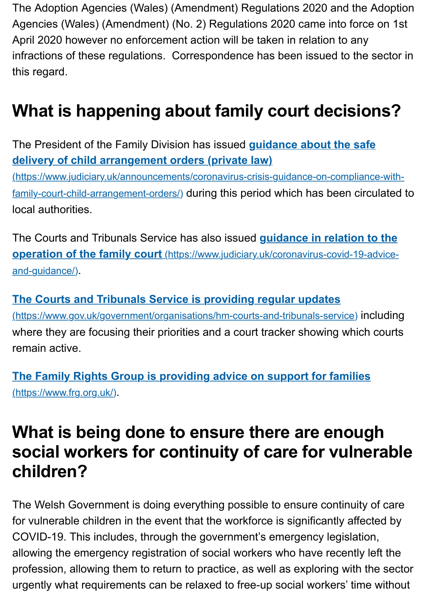#### **What is happening about family court decisions?**

The President of the Family Division has issued **guidance about the safe delivery of child arrangement orders (private law)**

(https://www.judiciary.uk/announcements/coronavirus-crisis-guidance-on-compliance family-court-child-arrangement-orders/) during this period which has been circulated to local authorities.

<span id="page-4-0"></span>The Courts and Tribunals Service has also issued **guidance in relation to operation of the family court** (https://www.judiciary.uk/coronavirus-covid-19-ad and-guidance/).

### **[The Courts and Tribunals Service is providing regular updates](https://www.judiciary.uk/announcements/coronavirus-crisis-guidance-on-compliance-with-family-court-child-arrangement-orders/)**

(https://www.gov.uk/government/organisations/hm-courts-and-tribunals-service) incl where they are focusing their priorities and a court tracker showing which of remain active.

**[The Family Rights Group is providing advice on support for families](https://www.judiciary.uk/coronavirus-covid-19-advice-and-guidance/)** (https://www.frg.org.uk/).

# **[What is being done to ensure there are enou](https://www.gov.uk/government/organisations/hm-courts-and-tribunals-service)ghty** social workers for continuity of care for vulner **children?**

[The Welsh Government is doing everything possible to ensure continuity o](https://www.frg.org.uk/)f for vulnerable children in the event that the workforce is significantly affected COVID-19. This includes, through the government's emergency legislation, allowing the emergency registration of social workers who have recently le profession, allowing them to return to practice, as well as exploring with the urgently what requirements can be relaxed to free-up social workers' time w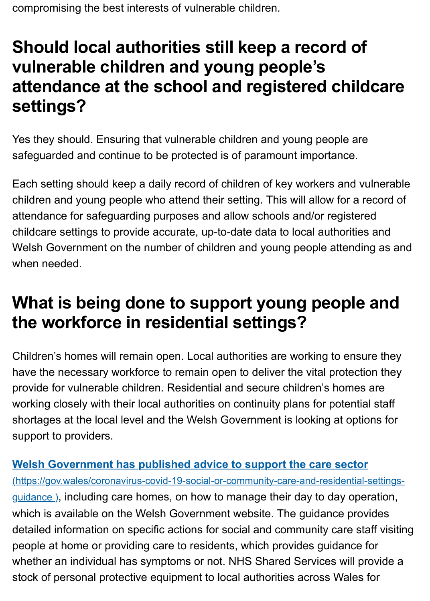## **settings?**

Yes they should. Ensuring that vulnerable children and young people are safeguarded and continue to be protected is of paramount importance.

Each setting should keep a daily record of children of key workers and vulr children and young people who attend their setting. This will allow for a rec attendance for safeguarding purposes and allow schools and/or registered childcare settings to provide accurate, up-to-date data to local authorities a Welsh Government on the number of children and young people attending when needed.

# **What is being done to support young people a the workforce in residential settings?**

Children's homes will remain open. Local authorities are working to ensure have the necessary workforce to remain open to deliver the vital protection provide for vulnerable children. Residential and secure children's homes are working closely with their local authorities on continuity plans for potential state. shortages at the local level and the Welsh Government is looking at option support to providers.

### **Welsh Government has published advice to support the care sector**

(https://gov.wales/coronavirus-covid-19-social-or-community-care-and-residential-se guidance), including care homes, on how to manage their day to day operation. which is available on the Welsh Government website. The guidance provided detailed information on specific actions for social and community care staff people at home or providing care to residents, which provides guidance for whether an individual has symptoms or not. NHS Shared Services will provide a [stock of personal protective equipment to local authorities across Wales for](https://gov.wales/coronavirus-covid-19-social-or-community-care-and-residential-settings-guidance)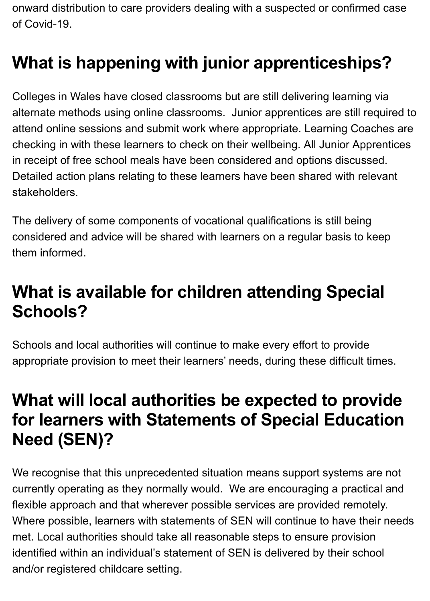onward distribution to care providers dealing with a suspected or confirmed case of Covid-19.

# <span id="page-6-0"></span>**What is happening with junior apprenticeships?**

Colleges in Wales have closed classrooms but are still delivering learning via alternate methods using online classrooms. Junior apprentices are still required to attend online sessions and submit work where appropriate. Learning Coaches are checking in with these learners to check on their wellbeing. All Junior Apprentices in receipt of free school meals have been considered and options discussed. Detailed action plans relating to these learners have been shared with relevant stakeholders.

The delivery of some components of vocational qualifications is still being considered and advice will be shared with learners on a regular basis to keep them informed.

# <span id="page-6-1"></span>**What is available for children attending Special Schools?**

Schools and local authorities will continue to make every effort to provide appropriate provision to meet their learners' needs, during these difficult times.

# <span id="page-6-2"></span>**What will local authorities be expected to provide for learners with Statements of Special Education Need (SEN)?**

We recognise that this unprecedented situation means support systems are not currently operating as they normally would. We are encouraging a practical and flexible approach and that wherever possible services are provided remotely. Where possible, learners with statements of SEN will continue to have their needs met. Local authorities should take all reasonable steps to ensure provision identified within an individual's statement of SEN is delivered by their school and/or registered childcare setting.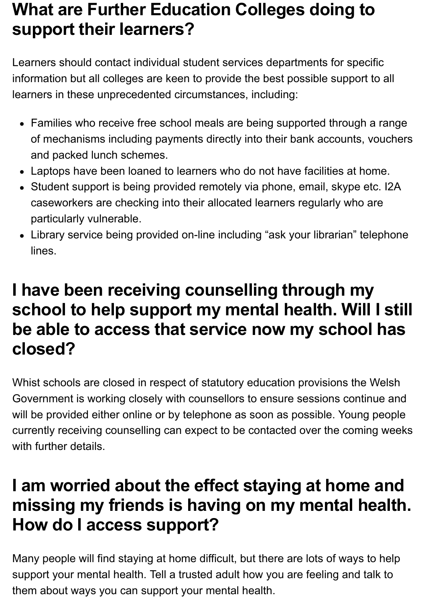# <span id="page-7-0"></span>**What are Further Education Colleges doing to support their learners?**

Learners should contact individual student services departments for specific information but all colleges are keen to provide the best possible support to all learners in these unprecedented circumstances, including:

- Families who receive free school meals are being supported through a range of mechanisms including payments directly into their bank accounts, vouchers and packed lunch schemes.
- Laptops have been loaned to learners who do not have facilities at home.
- Student support is being provided remotely via phone, email, skype etc. I2A caseworkers are checking into their allocated learners regularly who are particularly vulnerable.
- Library service being provided on-line including "ask your librarian" telephone lines.

# <span id="page-7-1"></span>**I have been receiving counselling through my school to help support my mental health. Will I still be able to access that service now my school has closed?**

Whist schools are closed in respect of statutory education provisions the Welsh Government is working closely with counsellors to ensure sessions continue and will be provided either online or by telephone as soon as possible. Young people currently receiving counselling can expect to be contacted over the coming weeks with further details.

# <span id="page-7-2"></span>**I am worried about the effect staying at home and missing my friends is having on my mental health. How do I access support?**

Many people will find staying at home difficult, but there are lots of ways to help support your mental health. Tell a trusted adult how you are feeling and talk to them about ways you can support your mental health.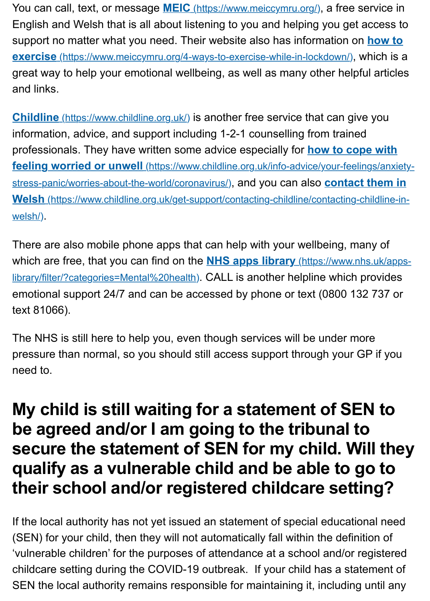**Childline** (https://www.childline.o[rg.uk/\) is another free service tha](https://www.meiccymru.org/)t can give y information, advice, and support including 1-2-1 counselling from trained professionals. They have written some advice especially for **how to cope** feeling worried or unwell (https://www.childline.org.uk/info-advice/your-feelings stress-panic/worries-about-the-world/coronavirus/), and you can also **contact th Welsh** (https://www.childline.org.uk/get-support/contacting-childline/contacting-child welsh/).

There are also mobile phone apps that can help with your wellbeing, many which are free, that you can find on the **NHS apps library** (https://www.nhs.uk library/filter/?categories=Mental%20health). CALL is another helpline which pro emotional support 24/7 and can be accessed by phone or text (0800 132 7 text 81066).

The NHS is still here to help you, even though services will be under more pressure than normal, so you should still access support through your GP [need to.](https://www.nhs.uk/apps-library/filter/?categories=Mental%20health)

# **My child is still waiting for a statement of SEN be agreed and/or I am going to the tribunal to** secure the statement of **SEN** for my child. Will **qualify as a vulnerable child and be able to go to their school and/or registered childcare setting?**

<span id="page-8-0"></span>If the local authority has not yet issued an statement of special educational (SEN) for your child, then they will not automatically fall within the definition 'vulnerable children' for the purposes of attendance at a school and/or regi childcare setting during the COVID-19 outbreak. If your child has a statem SEN the local authority remains responsible for maintaining it, including un